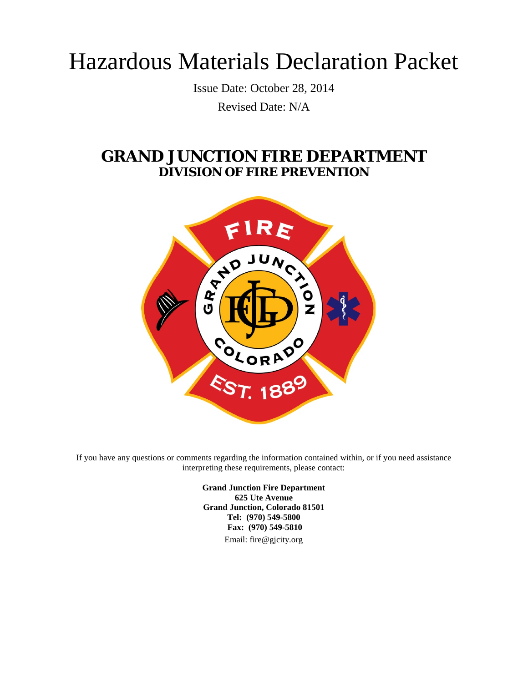# Hazardous Materials Declaration Packet

Issue Date: October 28, 2014 Revised Date: N/A

## **GRAND JUNCTION FIRE DEPARTMENT DIVISION OF FIRE PREVENTION**



If you have any questions or comments regarding the information contained within, or if you need assistance interpreting these requirements, please contact:

> **Grand Junction Fire Department 625 Ute Avenue Grand Junction, Colorado 81501 Tel: (970) 549-5800 Fax: (970) 549-5810** Email: fire@gjcity.org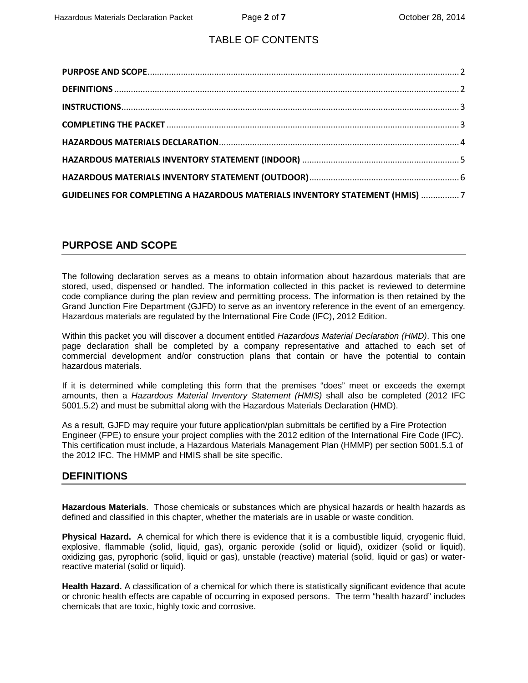## TABLE OF CONTENTS

| <b>GUIDELINES FOR COMPLETING A HAZARDOUS MATERIALS INVENTORY STATEMENT (HMIS) 7</b> |  |
|-------------------------------------------------------------------------------------|--|

## <span id="page-1-0"></span>**PURPOSE AND SCOPE**

The following declaration serves as a means to obtain information about hazardous materials that are stored, used, dispensed or handled. The information collected in this packet is reviewed to determine code compliance during the plan review and permitting process. The information is then retained by the Grand Junction Fire Department (GJFD) to serve as an inventory reference in the event of an emergency. Hazardous materials are regulated by the International Fire Code (IFC), 2012 Edition.

Within this packet you will discover a document entitled *Hazardous Material Declaration (HMD)*. This one page declaration shall be completed by a company representative and attached to each set of commercial development and/or construction plans that contain or have the potential to contain hazardous materials.

If it is determined while completing this form that the premises "does" meet or exceeds the exempt amounts, then a *Hazardous Material Inventory Statement (HMIS)* shall also be completed (2012 IFC 5001.5.2) and must be submittal along with the Hazardous Materials Declaration (HMD).

As a result, GJFD may require your future application/plan submittals be certified by a Fire Protection Engineer (FPE) to ensure your project complies with the 2012 edition of the International Fire Code (IFC). This certification must include, a Hazardous Materials Management Plan (HMMP) per section 5001.5.1 of the 2012 IFC. The HMMP and HMIS shall be site specific.

## <span id="page-1-1"></span>**DEFINITIONS**

**Hazardous Materials**. Those chemicals or substances which are physical hazards or health hazards as defined and classified in this chapter, whether the materials are in usable or waste condition.

**Physical Hazard.** A chemical for which there is evidence that it is a combustible liquid, cryogenic fluid, explosive, flammable (solid, liquid, gas), organic peroxide (solid or liquid), oxidizer (solid or liquid), oxidizing gas, pyrophoric (solid, liquid or gas), unstable (reactive) material (solid, liquid or gas) or waterreactive material (solid or liquid).

**Health Hazard.** A classification of a chemical for which there is statistically significant evidence that acute or chronic health effects are capable of occurring in exposed persons. The term "health hazard" includes chemicals that are toxic, highly toxic and corrosive.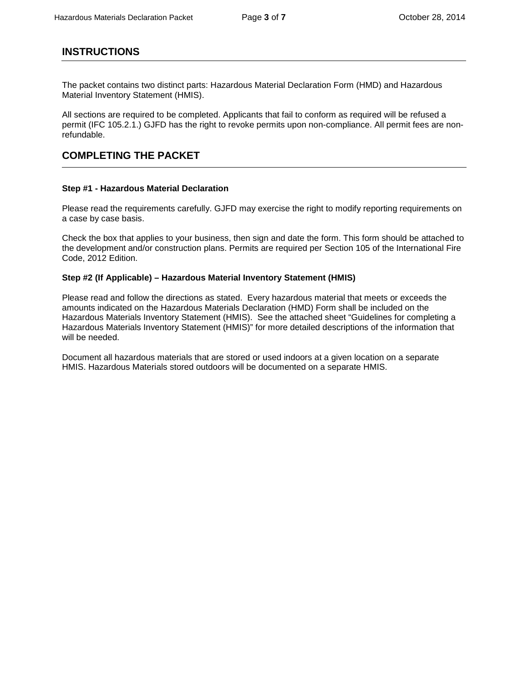## <span id="page-2-0"></span>**INSTRUCTIONS**

The packet contains two distinct parts: Hazardous Material Declaration Form (HMD) and Hazardous Material Inventory Statement (HMIS).

All sections are required to be completed. Applicants that fail to conform as required will be refused a permit (IFC 105.2.1.) GJFD has the right to revoke permits upon non-compliance. All permit fees are nonrefundable.

## <span id="page-2-1"></span>**COMPLETING THE PACKET**

#### **Step #1 - Hazardous Material Declaration**

Please read the requirements carefully. GJFD may exercise the right to modify reporting requirements on a case by case basis.

Check the box that applies to your business, then sign and date the form. This form should be attached to the development and/or construction plans. Permits are required per Section 105 of the International Fire Code, 2012 Edition.

#### **Step #2 (If Applicable) – Hazardous Material Inventory Statement (HMIS)**

Please read and follow the directions as stated. Every hazardous material that meets or exceeds the amounts indicated on the Hazardous Materials Declaration (HMD) Form shall be included on the Hazardous Materials Inventory Statement (HMIS). See the attached sheet "Guidelines for completing a Hazardous Materials Inventory Statement (HMIS)" for more detailed descriptions of the information that will be needed.

Document all hazardous materials that are stored or used indoors at a given location on a separate HMIS. Hazardous Materials stored outdoors will be documented on a separate HMIS.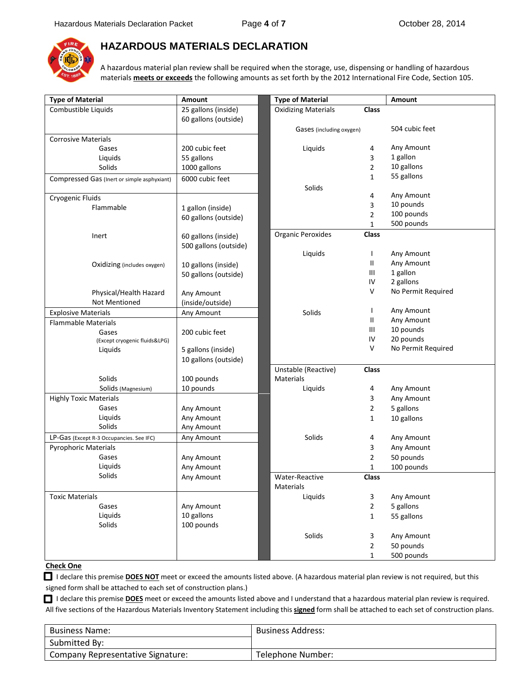

### <span id="page-3-0"></span>**HAZARDOUS MATERIALS DECLARATION**

A hazardous material plan review shall be required when the storage, use, dispensing or handling of hazardous materials **meets or exceeds** the following amounts as set forth by the 2012 International Fire Code, Section 105.

| <b>Type of Material</b>                     | Amount                | <b>Type of Material</b>                    |                | Amount             |
|---------------------------------------------|-----------------------|--------------------------------------------|----------------|--------------------|
| Combustible Liquids                         | 25 gallons (inside)   | <b>Oxidizing Materials</b><br><b>Class</b> |                |                    |
|                                             | 60 gallons (outside)  |                                            |                |                    |
|                                             |                       | Gases (including oxygen)                   |                | 504 cubic feet     |
| <b>Corrosive Materials</b>                  |                       |                                            |                |                    |
| Gases                                       | 200 cubic feet        | Liquids                                    | 4              | Any Amount         |
| Liquids                                     | 55 gallons            |                                            | 3              | 1 gallon           |
| Solids                                      | 1000 gallons          |                                            | 2              | 10 gallons         |
| Compressed Gas (Inert or simple asphyxiant) | 6000 cubic feet       |                                            | 1              | 55 gallons         |
|                                             |                       | Solids                                     |                |                    |
| Cryogenic Fluids                            |                       |                                            | 4              | Any Amount         |
| Flammable                                   | 1 gallon (inside)     |                                            | 3              | 10 pounds          |
|                                             | 60 gallons (outside)  |                                            | 2              | 100 pounds         |
|                                             |                       |                                            | 1              | 500 pounds         |
| Inert                                       | 60 gallons (inside)   | <b>Organic Peroxides</b>                   | Class          |                    |
|                                             | 500 gallons (outside) |                                            |                |                    |
|                                             |                       | Liquids                                    | $\mathbf{I}$   | Any Amount         |
| Oxidizing (includes oxygen)                 | 10 gallons (inside)   |                                            | Ш              | Any Amount         |
|                                             | 50 gallons (outside)  |                                            | Ш              | 1 gallon           |
|                                             |                       |                                            | IV             | 2 gallons          |
| Physical/Health Hazard                      | Any Amount            |                                            | V              | No Permit Required |
| <b>Not Mentioned</b>                        | (inside/outside)      |                                            |                |                    |
| <b>Explosive Materials</b>                  | Any Amount            | Solids                                     | $\mathbf{I}$   | Any Amount         |
| <b>Flammable Materials</b>                  |                       |                                            | Ш              | Any Amount         |
| Gases                                       | 200 cubic feet        |                                            | Ш              | 10 pounds          |
| (Except cryogenic fluids&LPG)               |                       |                                            | IV             | 20 pounds          |
| Liquids                                     | 5 gallons (inside)    |                                            | $\vee$         | No Permit Required |
|                                             | 10 gallons (outside)  |                                            |                |                    |
|                                             |                       | Unstable (Reactive)                        | <b>Class</b>   |                    |
| Solids                                      | 100 pounds            | <b>Materials</b>                           |                |                    |
| Solids (Magnesium)                          | 10 pounds             | Liquids                                    | 4              | Any Amount         |
| <b>Highly Toxic Materials</b>               |                       |                                            | 3              | Any Amount         |
| Gases                                       | Any Amount            |                                            | 2              | 5 gallons          |
| Liquids                                     | Any Amount            |                                            | 1              | 10 gallons         |
| Solids                                      | Any Amount            |                                            |                |                    |
| LP-Gas (Except R-3 Occupancies. See IFC)    | Any Amount            | Solids                                     | 4              | Any Amount         |
| <b>Pyrophoric Materials</b>                 |                       |                                            | 3              | Any Amount         |
| Gases                                       | Any Amount            |                                            | 2              | 50 pounds          |
| Liquids                                     | Any Amount            |                                            | 1              | 100 pounds         |
| Solids                                      | Any Amount            | Water-Reactive                             | <b>Class</b>   |                    |
|                                             |                       | Materials                                  |                |                    |
| <b>Toxic Materials</b>                      |                       | Liquids                                    | 3              | Any Amount         |
| Gases                                       | Any Amount            |                                            | $\overline{2}$ | 5 gallons          |
| Liquids                                     | 10 gallons            |                                            | $\mathbf{1}$   | 55 gallons         |
| Solids                                      | 100 pounds            |                                            |                |                    |
|                                             |                       | Solids                                     | 3              | Any Amount         |
|                                             |                       |                                            | $\overline{2}$ | 50 pounds          |
|                                             |                       |                                            |                |                    |
|                                             |                       |                                            | $\mathbf{1}$   | 500 pounds         |

#### **Check One**

I declare this premise **DOES NOT** meet or exceed the amounts listed above. (A hazardous material plan review is not required, but this signed form shall be attached to each set of construction plans.)

I declare this premise **DOES** meet or exceed the amounts listed above and I understand that a hazardous material plan review is required. All five sections of the Hazardous Materials Inventory Statement including this **signed** form shall be attached to each set of construction plans.

| <b>Business Name:</b>             | <b>Business Address:</b> |
|-----------------------------------|--------------------------|
| Submitted By:                     |                          |
| Company Representative Signature: | Telephone Number:        |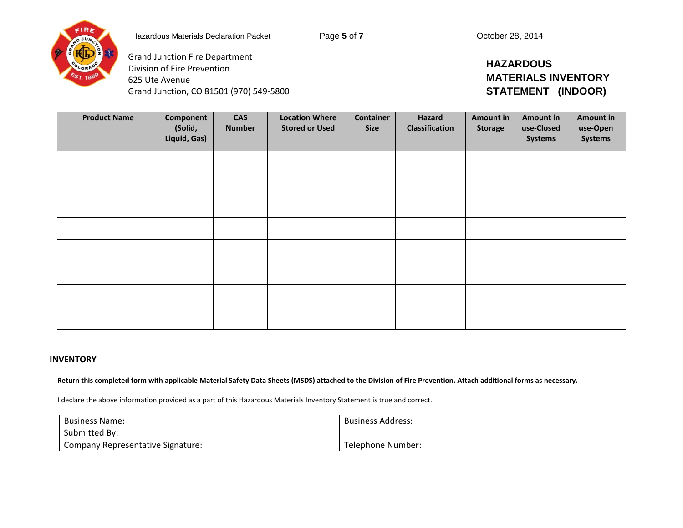

Grand Junction, CO 81501 (970) 549-5800

Grand Junction Fire Department Division of Fire Prevention

625 Ute Avenue

## **HAZARDOUS MATERIALS INVENTORY STATEMENT (INDOOR)**

| <b>Product Name</b> | Component<br>(Solid,<br>Liquid, Gas) | <b>CAS</b><br><b>Number</b> | <b>Location Where</b><br><b>Stored or Used</b> | <b>Container</b><br><b>Size</b> | Hazard<br>Classification | Amount in<br><b>Storage</b> | <b>Amount in</b><br>use-Closed<br><b>Systems</b> | Amount in<br>use-Open<br><b>Systems</b> |
|---------------------|--------------------------------------|-----------------------------|------------------------------------------------|---------------------------------|--------------------------|-----------------------------|--------------------------------------------------|-----------------------------------------|
|                     |                                      |                             |                                                |                                 |                          |                             |                                                  |                                         |
|                     |                                      |                             |                                                |                                 |                          |                             |                                                  |                                         |
|                     |                                      |                             |                                                |                                 |                          |                             |                                                  |                                         |
|                     |                                      |                             |                                                |                                 |                          |                             |                                                  |                                         |
|                     |                                      |                             |                                                |                                 |                          |                             |                                                  |                                         |
|                     |                                      |                             |                                                |                                 |                          |                             |                                                  |                                         |
|                     |                                      |                             |                                                |                                 |                          |                             |                                                  |                                         |
|                     |                                      |                             |                                                |                                 |                          |                             |                                                  |                                         |

#### **INVENTORY**

**Return this completed form with applicable Material Safety Data Sheets (MSDS) attached to the Division of Fire Prevention. Attach additional forms as necessary.**

I declare the above information provided as a part of this Hazardous Materials Inventory Statement is true and correct.

| <b>Business Name:</b>             | Business Address: |
|-----------------------------------|-------------------|
| Submitted By:                     |                   |
| Company Representative Signature: | Telephone Number: |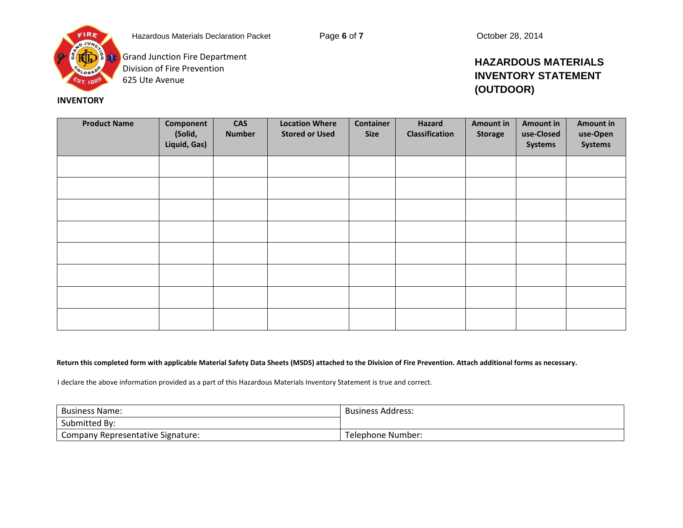

**Grand Junction Fire Department** Division of Fire Prevention 625 Ute Avenue

 **INVENTORY**

## **HAZARDOUS MATERIALS INVENTORY STATEMENT (OUTDOOR)**

| <b>Product Name</b> | Component<br>(Solid,<br>Liquid, Gas) | <b>CAS</b><br><b>Number</b> | <b>Location Where</b><br><b>Stored or Used</b> | <b>Container</b><br><b>Size</b> | Hazard<br><b>Classification</b> | Amount in<br><b>Storage</b> | <b>Amount in</b><br>use-Closed<br>Systems | <b>Amount in</b><br>use-Open<br><b>Systems</b> |
|---------------------|--------------------------------------|-----------------------------|------------------------------------------------|---------------------------------|---------------------------------|-----------------------------|-------------------------------------------|------------------------------------------------|
|                     |                                      |                             |                                                |                                 |                                 |                             |                                           |                                                |
|                     |                                      |                             |                                                |                                 |                                 |                             |                                           |                                                |
|                     |                                      |                             |                                                |                                 |                                 |                             |                                           |                                                |
|                     |                                      |                             |                                                |                                 |                                 |                             |                                           |                                                |
|                     |                                      |                             |                                                |                                 |                                 |                             |                                           |                                                |
|                     |                                      |                             |                                                |                                 |                                 |                             |                                           |                                                |
|                     |                                      |                             |                                                |                                 |                                 |                             |                                           |                                                |
|                     |                                      |                             |                                                |                                 |                                 |                             |                                           |                                                |

#### **Return this completed form with applicable Material Safety Data Sheets (MSDS) attached to the Division of Fire Prevention. Attach additional forms as necessary.**

I declare the above information provided as a part of this Hazardous Materials Inventory Statement is true and correct.

| <b>Business Name:</b>             | <b>Business Address:</b> |
|-----------------------------------|--------------------------|
| Submitted By:                     |                          |
| Company Representative Signature: | Telephone Number:        |